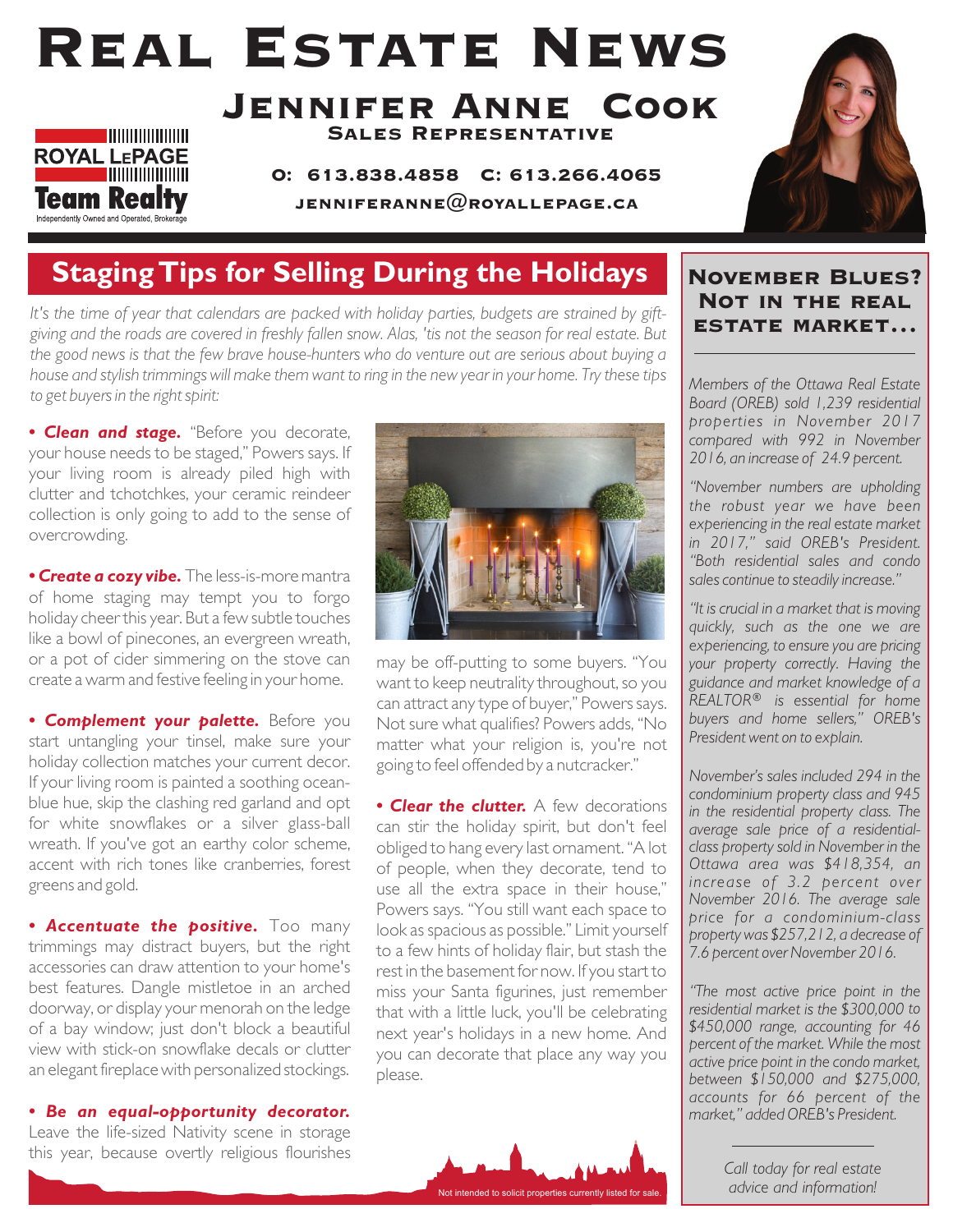# Real Estate News



Jennifer Anne Cook Sales Representative

> O: 613.838.4858 C: 613.266.4065 JENNIFERANNE $@$ ROYALLEPAGE.CA



### **Staging Tips for Selling During the Holidays**

*It's the time of year that calendars are packed with holiday parties, budgets are strained by giftgiving and the roads are covered in freshly fallen snow. Alas, 'tis not the season for real estate. But the good news is that the few brave house-hunters who do venture out are serious about buying a house and stylish trimmings will make them want to ring in the new year in your home. Try these tips to get buyers in the right spirit:*

*• Clean and stage.* "Before you decorate, your house needs to be staged," Powers says. If your living room is already piled high with clutter and tchotchkes, your ceramic reindeer collection is only going to add to the sense of overcrowding.

*• Create a cozy vibe.* The less-is-more mantra of home staging may tempt you to forgo holiday cheer this year. But a few subtle touches like a bowl of pinecones, an evergreen wreath, or a pot of cider simmering on the stove can create a warm and festive feeling in your home.

**• Complement your palette.** Before you start untangling your tinsel, make sure your holiday collection matches your current decor. If your living room is painted a soothing oceanblue hue, skip the clashing red garland and opt for white snowflakes or a silver glass-ball wreath. If you've got an earthy color scheme, accent with rich tones like cranberries, forest greens and gold.

*• Accentuate the positive.* Too many trimmings may distract buyers, but the right accessories can draw attention to your home's best features. Dangle mistletoe in an arched doorway, or display your menorah on the ledge of a bay window; just don't block a beautiful view with stick-on snowflake decals or clutter an elegant fireplace with personalized stockings.

*• Be an equal-opportunity decorator.* Leave the life-sized Nativity scene in storage this year, because overtly religious flourishes



may be off-putting to some buyers. "You want to keep neutrality throughout, so you can attract any type of buyer," Powers says. Not sure what qualifies? Powers adds, "No matter what your religion is, you're not going to feel offended by a nutcracker."

*• Clear the clutter.* A few decorations can stir the holiday spirit, but don't feel obliged to hang every last ornament. "A lot of people, when they decorate, tend to use all the extra space in their house," Powers says. "You still want each space to look as spacious as possible." Limit yourself to a few hints of holiday flair, but stash the rest in the basement for now. If you start to miss your Santa figurines, just remember that with a little luck, you'll be celebrating next year's holidays in a new home. And you can decorate that place any way you please.



#### November Blues? Not in the real estate market…

*Members of the Ottawa Real Estate Board (OREB) sold 1,239 residential properties in November 2017 compared with 992 in November 2016, an increase of 24.9 percent.* 

*"November numbers are upholding the robust year we have been experiencing in the real estate market in 2017," said OREB's President. "Both residential sales and condo sales continue to steadily increase."* 

*"It is crucial in a market that is moving quickly, such as the one we are experiencing, to ensure you are pricing your property correctly. Having the guidance and market knowledge of a REALTOR® is essential for home buyers and home sellers," OREB's President went on to explain.* 

*November's sales included 294 in the condominium property class and 945 in the residential property class. The average sale price of a residentialclass property sold in November in the Ottawa area was \$418,354, an increase of 3.2 percent over November 2016. The average sale price for a condominium-class property was \$257,212, a decrease of 7.6 percent over November 2016.* 

*"The most active price point in the residential market is the \$300,000 to \$450,000 range, accounting for 46 percent of the market. While the most active price point in the condo market, between \$150,000 and \$275,000, accounts for 66 percent of the market," added OREB's President.*

*Call today for real estate advice and information!*